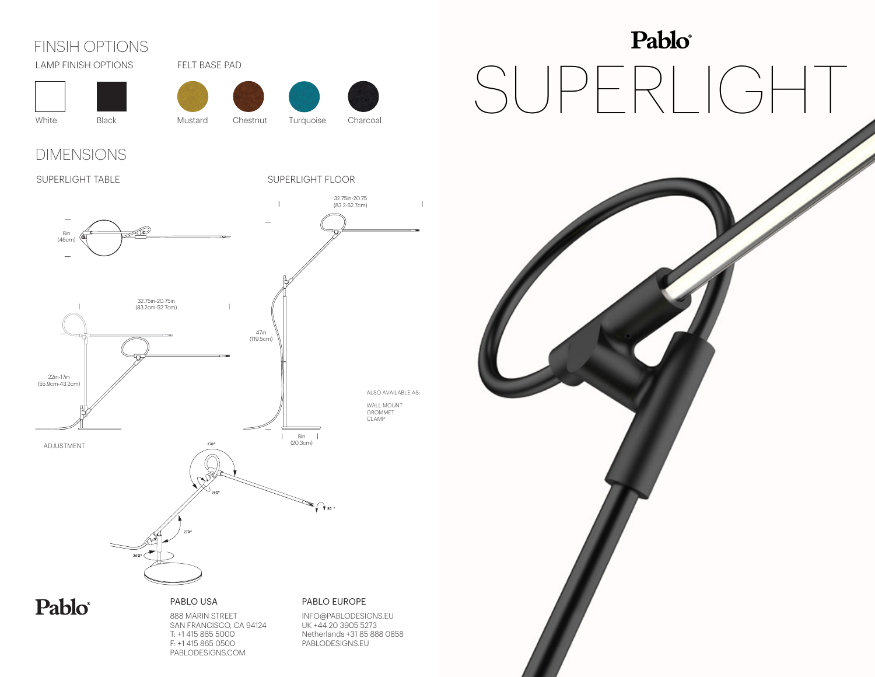## FINSIH OPTIONS







White Black Mustard Chestnut Turquoise Charcoal

Chestnut



### DIMENSIONS

### SUPERLIGHT TABLE

SUPERLIGHT FLOOR



PABLODESIGNS.COM

# Pablo® SUPERLIGHT